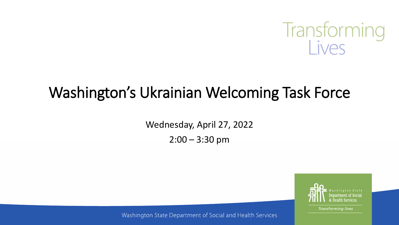

# Washington's Ukrainian Welcoming Task Force

Wednesday, April 27, 2022

 $2:00 - 3:30$  pm



**Transforming lives** 

Washington State Department of Social and Health Services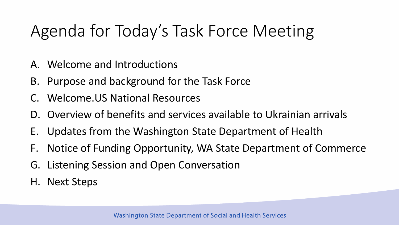# Agenda for Today's Task Force Meeting

- A. Welcome and Introductions
- B. Purpose and background for the Task Force
- C. Welcome.US National Resources
- D. Overview of benefits and services available to Ukrainian arrivals
- E. Updates from the Washington State Department of Health
- F. Notice of Funding Opportunity, WA State Department of Commerce
- G. Listening Session and Open Conversation
- H. Next Steps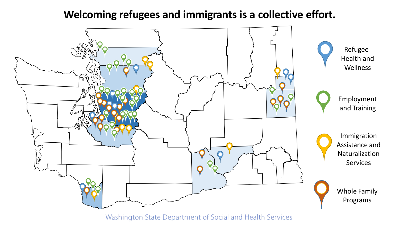#### **Welcoming refugees and immigrants is a collective effort.**



Washington State Department of Social and Health Services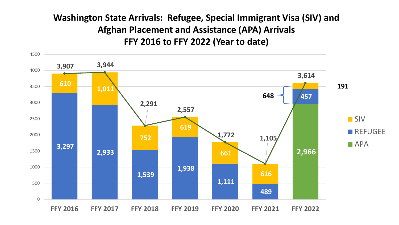#### **Washington State Arrivals: Refugee, Special Immigrant Visa (SIV) and Afghan Placement and Assistance (APA) Arrivals FFY 2016 to FFY 2022 (Year to date)**

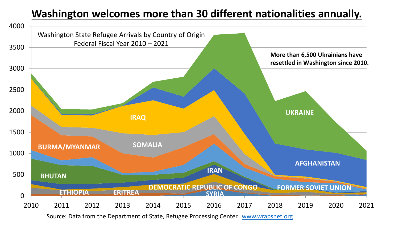## **Washington welcomes more than 30 different nationalities annually.**



Source: Data from the Department of State, Refugee Processing Center. [www.wrapsnet.org](http://www.wrapsnet.org/)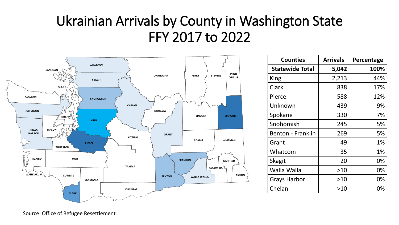# Ukrainian Arrivals by County in Washington State FFY 2017 to 2022



| <b>Counties</b>          | <b>Arrivals</b> | Percentage |
|--------------------------|-----------------|------------|
| <b>Statewide Total</b>   | 5,042           | 100%       |
| King                     | 2,213           | 44%        |
| Clark                    | 838             | 17%        |
| Pierce                   | 588             | 12%        |
| Unknown                  | 439             | 9%         |
| Spokane                  | 330             | 7%         |
| Snohomish                | 245             | 5%         |
| <b>Benton - Franklin</b> | 269             | 5%         |
| Grant                    | 49              | 1%         |
| Whatcom                  | 35              | 1%         |
| <b>Skagit</b>            | 20              | 0%         |
| Walla Walla              | >10             | 0%         |
| <b>Grays Harbor</b>      | >10             | 0%         |
| Chelan                   | >10             | 0%         |

Source: Office of Refugee Resettlement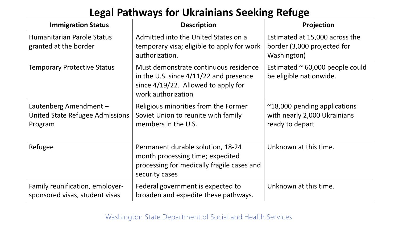### **Legal Pathways for Ukrainians Seeking Refuge**

| <b>Immigration Status</b>                                            | <b>Description</b>                                                                                                                                | Projection                                                                               |
|----------------------------------------------------------------------|---------------------------------------------------------------------------------------------------------------------------------------------------|------------------------------------------------------------------------------------------|
| Humanitarian Parole Status<br>granted at the border                  | Admitted into the United States on a<br>temporary visa; eligible to apply for work<br>authorization.                                              | Estimated at 15,000 across the<br>border (3,000 projected for<br>Washington)             |
| <b>Temporary Protective Status</b>                                   | Must demonstrate continuous residence<br>in the U.S. since $4/11/22$ and presence<br>since $4/19/22$ . Allowed to apply for<br>work authorization | Estimated $\approx$ 60,000 people could<br>be eligible nationwide.                       |
| Lautenberg Amendment -<br>United State Refugee Admissions<br>Program | Religious minorities from the Former<br>Soviet Union to reunite with family<br>members in the U.S.                                                | $\approx$ 18,000 pending applications<br>with nearly 2,000 Ukrainians<br>ready to depart |
| Refugee                                                              | Permanent durable solution, 18-24<br>month processing time; expedited<br>processing for medically fragile cases and<br>security cases             | Unknown at this time.                                                                    |
| Family reunification, employer-<br>sponsored visas, student visas    | Federal government is expected to<br>broaden and expedite these pathways.                                                                         | Unknown at this time.                                                                    |

#### Washington State Department of Social and Health Services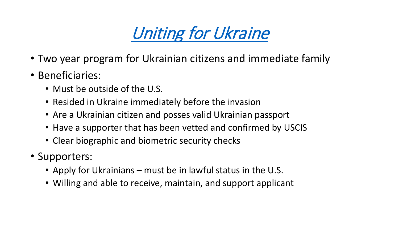

- Two year program for Ukrainian citizens and immediate family
- Beneficiaries:
	- Must be outside of the U.S.
	- Resided in Ukraine immediately before the invasion
	- Are a Ukrainian citizen and posses valid Ukrainian passport
	- Have a supporter that has been vetted and confirmed by USCIS
	- Clear biographic and biometric security checks
- Supporters:
	- Apply for Ukrainians must be in lawful status in the U.S.
	- Willing and able to receive, maintain, and support applicant